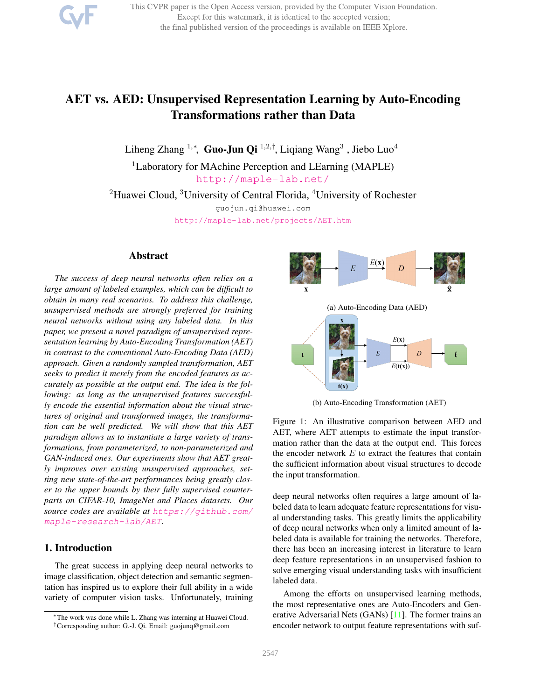This CVPR paper is the Open Access version, provided by the Computer Vision Foundation. Except for this watermark, it is identical to the accepted version; the final published version of the proceedings is available on IEEE Xplore.

# AET vs. AED: Unsupervised Representation Learning by Auto-Encoding Transformations rather than Data

Liheng Zhang 1,\*, Guo-Jun Qi 1,2,†, Liqiang Wang<sup>3</sup>, Jiebo Luo<sup>4</sup>

<sup>1</sup>Laboratory for MAchine Perception and LEarning (MAPLE) http://maple-lab.net/

<sup>2</sup>Huawei Cloud,  ${}^{3}$ University of Central Florida,  ${}^{4}$ University of Rochester

guojun.qi@huawei.com http://maple-lab.net/projects/AET.htm

### Abstract

*The success of deep neural networks often relies on a large amount of labeled examples, which can be difficult to obtain in many real scenarios. To address this challenge, unsupervised methods are strongly preferred for training neural networks without using any labeled data. In this paper, we present a novel paradigm of unsupervised representation learning by Auto-Encoding Transformation (AET) in contrast to the conventional Auto-Encoding Data (AED) approach. Given a randomly sampled transformation, AET seeks to predict it merely from the encoded features as accurately as possible at the output end. The idea is the following: as long as the unsupervised features successfully encode the essential information about the visual structures of original and transformed images, the transformation can be well predicted. We will show that this AET paradigm allows us to instantiate a large variety of transformations, from parameterized, to non-parameterized and GAN-induced ones. Our experiments show that AET greatly improves over existing unsupervised approaches, setting new state-of-the-art performances being greatly closer to the upper bounds by their fully supervised counterparts on CIFAR-10, ImageNet and Places datasets. Our source codes are available at https://github.com/ maple-research-lab/AET.*

# 1. Introduction

The great success in applying deep neural networks to image classification, object detection and semantic segmentation has inspired us to explore their full ability in a wide variety of computer vision tasks. Unfortunately, training



(b) Auto-Encoding Transformation (AET)

Figure 1: An illustrative comparison between AED and AET, where AET attempts to estimate the input transformation rather than the data at the output end. This forces the encoder network  $E$  to extract the features that contain the sufficient information about visual structures to decode the input transformation.

deep neural networks often requires a large amount of labeled data to learn adequate feature representations for visual understanding tasks. This greatly limits the applicability of deep neural networks when only a limited amount of labeled data is available for training the networks. Therefore, there has been an increasing interest in literature to learn deep feature representations in an unsupervised fashion to solve emerging visual understanding tasks with insufficient labeled data.

Among the efforts on unsupervised learning methods, the most representative ones are Auto-Encoders and Generative Adversarial Nets (GANs) [11]. The former trains an encoder network to output feature representations with suf-

<sup>∗</sup>The work was done while L. Zhang was interning at Huawei Cloud. †Corresponding author: G.-J. Qi. Email: guojunq@gmail.com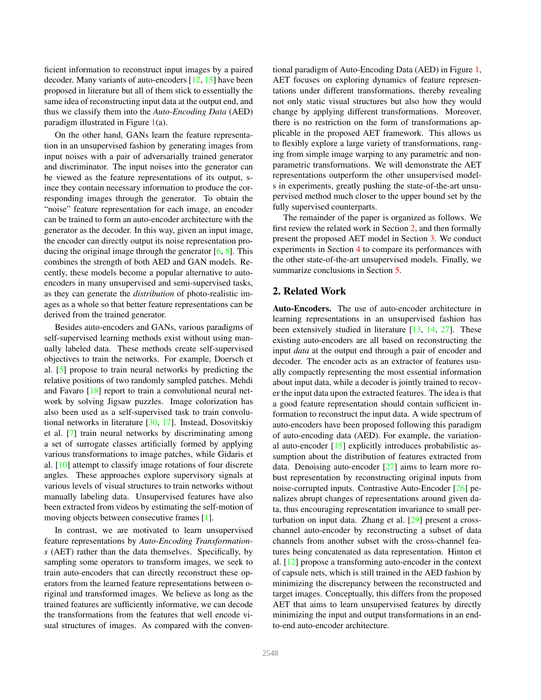ficient information to reconstruct input images by a paired decoder. Many variants of auto-encoders [12, 15] have been proposed in literature but all of them stick to essentially the same idea of reconstructing input data at the output end, and thus we classify them into the *Auto-Encoding Data* (AED) paradigm illustrated in Figure  $1(a)$ .

On the other hand, GANs learn the feature representation in an unsupervised fashion by generating images from input noises with a pair of adversarially trained generator and discriminator. The input noises into the generator can be viewed as the feature representations of its output, since they contain necessary information to produce the corresponding images through the generator. To obtain the "noise" feature representation for each image, an encoder can be trained to form an auto-encoder architecture with the generator as the decoder. In this way, given an input image, the encoder can directly output its noise representation producing the original image through the generator  $[6, 8]$ . This combines the strength of both AED and GAN models. Recently, these models become a popular alternative to autoencoders in many unsupervised and semi-supervised tasks, as they can generate the *distribution* of photo-realistic images as a whole so that better feature representations can be derived from the trained generator.

Besides auto-encoders and GANs, various paradigms of self-supervised learning methods exist without using manually labeled data. These methods create self-supervised objectives to train the networks. For example, Doersch et al. [5] propose to train neural networks by predicting the relative positions of two randomly sampled patches. Mehdi and Favaro [18] report to train a convolutional neural network by solving Jigsaw puzzles. Image colorization has also been used as a self-supervised task to train convolutional networks in literature [30, 17]. Instead, Dosovitskiy et al. [7] train neural networks by discriminating among a set of surrogate classes artificially formed by applying various transformations to image patches, while Gidaris et al. [10] attempt to classify image rotations of four discrete angles. These approaches explore supervisory signals at various levels of visual structures to train networks without manually labeling data. Unsupervised features have also been extracted from videos by estimating the self-motion of moving objects between consecutive frames [1].

In contrast, we are motivated to learn unsupervised feature representations by *Auto-Encoding Transformations* (AET) rather than the data themselves. Specifically, by sampling some operators to transform images, we seek to train auto-encoders that can directly reconstruct these operators from the learned feature representations between original and transformed images. We believe as long as the trained features are sufficiently informative, we can decode the transformations from the features that well encode visual structures of images. As compared with the conventional paradigm of Auto-Encoding Data (AED) in Figure 1, AET focuses on exploring dynamics of feature representations under different transformations, thereby revealing not only static visual structures but also how they would change by applying different transformations. Moreover, there is no restriction on the form of transformations applicable in the proposed AET framework. This allows us to flexibly explore a large variety of transformations, ranging from simple image warping to any parametric and nonparametric transformations. We will demonstrate the AET representations outperform the other unsupervised models in experiments, greatly pushing the state-of-the-art unsupervised method much closer to the upper bound set by the fully supervised counterparts.

The remainder of the paper is organized as follows. We first review the related work in Section 2, and then formally present the proposed AET model in Section 3. We conduct experiments in Section 4 to compare its performances with the other state-of-the-art unsupervised models. Finally, we summarize conclusions in Section 5.

### 2. Related Work

Auto-Encoders. The use of auto-encoder architecture in learning representations in an unsupervised fashion has been extensively studied in literature [13, 14, 27]. These existing auto-encoders are all based on reconstructing the input *data* at the output end through a pair of encoder and decoder. The encoder acts as an extractor of features usually compactly representing the most essential information about input data, while a decoder is jointly trained to recover the input data upon the extracted features. The idea is that a good feature representation should contain sufficient information to reconstruct the input data. A wide spectrum of auto-encoders have been proposed following this paradigm of auto-encoding data (AED). For example, the variational auto-encoder [15] explicitly introduces probabilistic assumption about the distribution of features extracted from data. Denoising auto-encoder [27] aims to learn more robust representation by reconstructing original inputs from noise-corrupted inputs. Contrastive Auto-Encoder [26] penalizes abrupt changes of representations around given data, thus encouraging representation invariance to small perturbation on input data. Zhang et al. [29] present a crosschannel auto-encoder by reconstructing a subset of data channels from another subset with the cross-channel features being concatenated as data representation. Hinton et al. [12] propose a transforming auto-encoder in the context of capsule nets, which is still trained in the AED fashion by minimizing the discrepancy between the reconstructed and target images. Conceptually, this differs from the proposed AET that aims to learn unsupervised features by directly minimizing the input and output transformations in an endto-end auto-encoder architecture.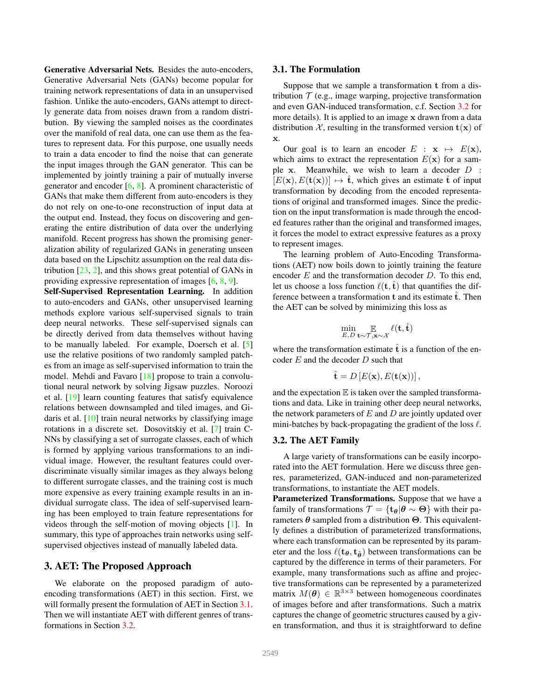Generative Adversarial Nets. Besides the auto-encoders, Generative Adversarial Nets (GANs) become popular for training network representations of data in an unsupervised fashion. Unlike the auto-encoders, GANs attempt to directly generate data from noises drawn from a random distribution. By viewing the sampled noises as the coordinates over the manifold of real data, one can use them as the features to represent data. For this purpose, one usually needs to train a data encoder to find the noise that can generate the input images through the GAN generator. This can be implemented by jointly training a pair of mutually inverse generator and encoder  $[6, 8]$ . A prominent characteristic of GANs that make them different from auto-encoders is they do not rely on one-to-one reconstruction of input data at the output end. Instead, they focus on discovering and generating the entire distribution of data over the underlying manifold. Recent progress has shown the promising generalization ability of regularized GANs in generating unseen data based on the Lipschitz assumption on the real data distribution  $[23, 2]$ , and this shows great potential of GANs in providing expressive representation of images [6, 8, 9].

Self-Supervised Representation Learning. In addition to auto-encoders and GANs, other unsupervised learning methods explore various self-supervised signals to train deep neural networks. These self-supervised signals can be directly derived from data themselves without having to be manually labeled. For example, Doersch et al. [5] use the relative positions of two randomly sampled patches from an image as self-supervised information to train the model. Mehdi and Favaro [18] propose to train a convolutional neural network by solving Jigsaw puzzles. Noroozi et al. [19] learn counting features that satisfy equivalence relations between downsampled and tiled images, and Gidaris et al. [10] train neural networks by classifying image rotations in a discrete set. Dosovitskiy et al. [7] train C-NNs by classifying a set of surrogate classes, each of which is formed by applying various transformations to an individual image. However, the resultant features could overdiscriminate visually similar images as they always belong to different surrogate classes, and the training cost is much more expensive as every training example results in an individual surrogate class. The idea of self-supervised learning has been employed to train feature representations for videos through the self-motion of moving objects [1]. In summary, this type of approaches train networks using selfsupervised objectives instead of manually labeled data.

### 3. AET: The Proposed Approach

We elaborate on the proposed paradigm of autoencoding transformations (AET) in this section. First, we will formally present the formulation of AET in Section 3.1. Then we will instantiate AET with different genres of transformations in Section 3.2.

### 3.1. The Formulation

Suppose that we sample a transformation t from a distribution  $T$  (e.g., image warping, projective transformation and even GAN-induced transformation, c.f. Section 3.2 for more details). It is applied to an image x drawn from a data distribution X, resulting in the transformed version  $t(x)$  of x.

Our goal is to learn an encoder  $E : \mathbf{x} \mapsto E(\mathbf{x}),$ which aims to extract the representation  $E(\mathbf{x})$  for a sample  $x$ . Meanwhile, we wish to learn a decoder  $D$  :  $[E(\mathbf{x}), E(\mathbf{t}(\mathbf{x}))] \mapsto \hat{\mathbf{t}}$ , which gives an estimate  $\hat{\mathbf{t}}$  of input transformation by decoding from the encoded representations of original and transformed images. Since the prediction on the input transformation is made through the encoded features rather than the original and transformed images, it forces the model to extract expressive features as a proxy to represent images.

The learning problem of Auto-Encoding Transformations (AET) now boils down to jointly training the feature encoder  $E$  and the transformation decoder  $D$ . To this end, let us choose a loss function  $\ell(\mathbf{t}, \hat{\mathbf{t}})$  that quantifies the difference between a transformation  $t$  and its estimate  $\hat{t}$ . Then the AET can be solved by minimizing this loss as

$$
\min_{E,D} \mathop{\mathbb{E}}_{\mathbf{t}\sim\mathcal{T},\mathbf{x}\sim\mathcal{X}} \ell(\mathbf{t},\hat{\mathbf{t}})
$$

where the transformation estimate  $\hat{t}$  is a function of the encoder  $E$  and the decoder  $D$  such that

$$
\hat{\mathbf{t}} = D\left[E(\mathbf{x}), E(\mathbf{t}(\mathbf{x}))\right],
$$

and the expectation  $E$  is taken over the sampled transformations and data. Like in training other deep neural networks, the network parameters of  $E$  and  $D$  are jointly updated over mini-batches by back-propagating the gradient of the loss  $\ell$ .

### 3.2. The AET Family

A large variety of transformations can be easily incorporated into the AET formulation. Here we discuss three genres, parameterized, GAN-induced and non-parameterized transformations, to instantiate the AET models.

Parameterized Transformations. Suppose that we have a family of transformations  $\mathcal{T} = {\mathbf{t}_{\theta} | \theta \sim \Theta}$  with their parameters  $\theta$  sampled from a distribution  $\Theta$ . This equivalently defines a distribution of parameterized transformations, where each transformation can be represented by its parameter and the loss  $\ell(t_{\theta}, t_{\hat{\theta}})$  between transformations can be captured by the difference in terms of their parameters. For example, many transformations such as affine and projective transformations can be represented by a parameterized matrix  $M(\theta) \in \mathbb{R}^{3 \times 3}$  between homogeneous coordinates of images before and after transformations. Such a matrix captures the change of geometric structures caused by a given transformation, and thus it is straightforward to define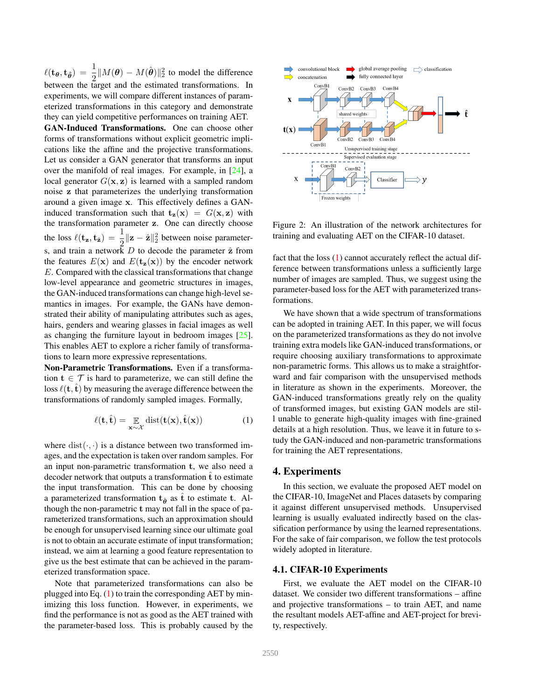$\ell(\mathbf{t}_{\theta}, \mathbf{t}_{\hat{\theta}}) = \frac{1}{2} ||M(\theta) - M(\hat{\theta})||_2^2$  to model the difference between the target and the estimated transformations. In experiments, we will compare different instances of parameterized transformations in this category and demonstrate they can yield competitive performances on training AET.

GAN-Induced Transformations. One can choose other forms of transformations without explicit geometric implications like the affine and the projective transformations. Let us consider a GAN generator that transforms an input over the manifold of real images. For example, in [24], a local generator  $G(\mathbf{x}, \mathbf{z})$  is learned with a sampled random noise z that parameterizes the underlying transformation around a given image x. This effectively defines a GANinduced transformation such that  $t_{z}(x) = G(x, z)$  with the transformation parameter z. One can directly choose the loss  $\ell(\mathbf{t}_z, \mathbf{t}_{\hat{z}}) = \frac{1}{2} ||\mathbf{z} - \hat{\mathbf{z}}||_2^2$  between noise parameters, and train a network  $D$  to decode the parameter  $\hat{z}$  from the features  $E(\mathbf{x})$  and  $E(\mathbf{t}_{\mathbf{z}}(\mathbf{x}))$  by the encoder network E. Compared with the classical transformations that change low-level appearance and geometric structures in images, the GAN-induced transformations can change high-level semantics in images. For example, the GANs have demonstrated their ability of manipulating attributes such as ages, hairs, genders and wearing glasses in facial images as well as changing the furniture layout in bedroom images [25]. This enables AET to explore a richer family of transformations to learn more expressive representations.

Non-Parametric Transformations. Even if a transformation  $t \in \mathcal{T}$  is hard to parameterize, we can still define the loss  $\ell(\mathbf{t}, \hat{\mathbf{t}})$  by measuring the average difference between the transformations of randomly sampled images. Formally,

$$
\ell(\mathbf{t}, \hat{\mathbf{t}}) = \mathop{\mathbb{E}}_{\mathbf{x} \sim \mathcal{X}} \text{dist}(\mathbf{t}(\mathbf{x}), \hat{\mathbf{t}}(\mathbf{x})) \tag{1}
$$

where  $dist(\cdot, \cdot)$  is a distance between two transformed images, and the expectation is taken over random samples. For an input non-parametric transformation t, we also need a decoder network that outputs a transformation  $\hat{t}$  to estimate the input transformation. This can be done by choosing a parameterized transformation  $t_{\hat{\theta}}$  as  $\hat{t}$  to estimate t. Although the non-parametric t may not fall in the space of parameterized transformations, such an approximation should be enough for unsupervised learning since our ultimate goal is not to obtain an accurate estimate of input transformation; instead, we aim at learning a good feature representation to give us the best estimate that can be achieved in the parameterized transformation space.

Note that parameterized transformations can also be plugged into Eq. (1) to train the corresponding AET by minimizing this loss function. However, in experiments, we find the performance is not as good as the AET trained with the parameter-based loss. This is probably caused by the



Figure 2: An illustration of the network architectures for training and evaluating AET on the CIFAR-10 dataset.

fact that the loss (1) cannot accurately reflect the actual difference between transformations unless a sufficiently large number of images are sampled. Thus, we suggest using the parameter-based loss for the AET with parameterized transformations.

We have shown that a wide spectrum of transformations can be adopted in training AET. In this paper, we will focus on the parameterized transformations as they do not involve training extra models like GAN-induced transformations, or require choosing auxiliary transformations to approximate non-parametric forms. This allows us to make a straightforward and fair comparison with the unsupervised methods in literature as shown in the experiments. Moreover, the GAN-induced transformations greatly rely on the quality of transformed images, but existing GAN models are still unable to generate high-quality images with fine-grained details at a high resolution. Thus, we leave it in future to study the GAN-induced and non-parametric transformations for training the AET representations.

# 4. Experiments

In this section, we evaluate the proposed AET model on the CIFAR-10, ImageNet and Places datasets by comparing it against different unsupervised methods. Unsupervised learning is usually evaluated indirectly based on the classification performance by using the learned representations. For the sake of fair comparison, we follow the test protocols widely adopted in literature.

### 4.1. CIFAR-10 Experiments

First, we evaluate the AET model on the CIFAR-10 dataset. We consider two different transformations – affine and projective transformations – to train AET, and name the resultant models AET-affine and AET-project for brevity, respectively.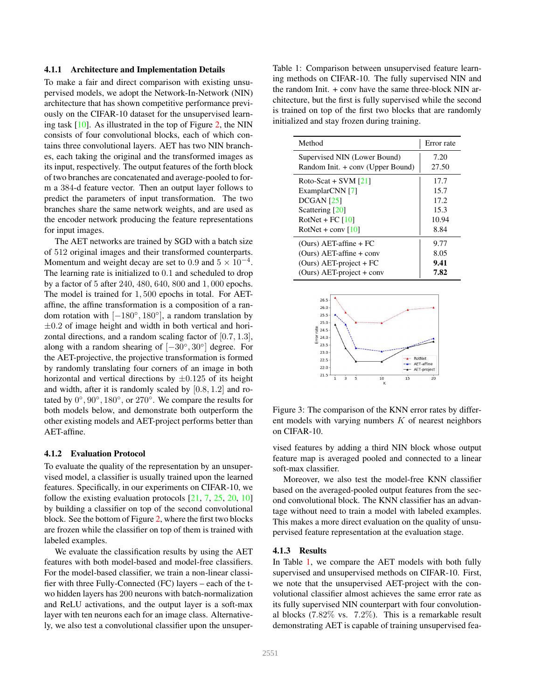#### 4.1.1 Architecture and Implementation Details

To make a fair and direct comparison with existing unsupervised models, we adopt the Network-In-Network (NIN) architecture that has shown competitive performance previously on the CIFAR-10 dataset for the unsupervised learning task [10]. As illustrated in the top of Figure 2, the NIN consists of four convolutional blocks, each of which contains three convolutional layers. AET has two NIN branches, each taking the original and the transformed images as its input, respectively. The output features of the forth block of two branches are concatenated and average-pooled to form a 384-d feature vector. Then an output layer follows to predict the parameters of input transformation. The two branches share the same network weights, and are used as the encoder network producing the feature representations for input images.

The AET networks are trained by SGD with a batch size of 512 original images and their transformed counterparts. Momentum and weight decay are set to 0.9 and  $5 \times 10^{-4}$ . The learning rate is initialized to 0.1 and scheduled to drop by a factor of 5 after 240, 480, 640, 800 and 1, 000 epochs. The model is trained for 1, 500 epochs in total. For AETaffine, the affine transformation is a composition of a random rotation with  $[-180^\circ, 180^\circ]$ , a random translation by  $\pm 0.2$  of image height and width in both vertical and horizontal directions, and a random scaling factor of [0.7, 1.3], along with a random shearing of  $[-30^{\circ}, 30^{\circ}]$  degree. For the AET-projective, the projective transformation is formed by randomly translating four corners of an image in both horizontal and vertical directions by  $\pm 0.125$  of its height and width, after it is randomly scaled by  $[0.8, 1.2]$  and rotated by  $0^\circ$ ,  $90^\circ$ ,  $180^\circ$ , or  $270^\circ$ . We compare the results for both models below, and demonstrate both outperform the other existing models and AET-project performs better than AET-affine.

#### 4.1.2 Evaluation Protocol

To evaluate the quality of the representation by an unsupervised model, a classifier is usually trained upon the learned features. Specifically, in our experiments on CIFAR-10, we follow the existing evaluation protocols  $[21, 7, 25, 20, 10]$ by building a classifier on top of the second convolutional block. See the bottom of Figure 2, where the first two blocks are frozen while the classifier on top of them is trained with labeled examples.

We evaluate the classification results by using the AET features with both model-based and model-free classifiers. For the model-based classifier, we train a non-linear classifier with three Fully-Connected (FC) layers – each of the two hidden layers has 200 neurons with batch-normalization and ReLU activations, and the output layer is a soft-max layer with ten neurons each for an image class. Alternatively, we also test a convolutional classifier upon the unsuper-

Table 1: Comparison between unsupervised feature learning methods on CIFAR-10. The fully supervised NIN and the random Init. + conv have the same three-block NIN architecture, but the first is fully supervised while the second is trained on top of the first two blocks that are randomly initialized and stay frozen during training.

| Method                            | Error rate |
|-----------------------------------|------------|
| Supervised NIN (Lower Bound)      | 7.20       |
| Random Init. + conv (Upper Bound) | 27.50      |
| Roto-Scat + SVM $[21]$            | 17.7       |
| ExamplarCNN [7]                   | 15.7       |
| DCGAN <sub>[25]</sub>             | 17.2       |
| Scattering [20]                   | 15.3       |
| RotNet + FC $[10]$                | 10.94      |
| RotNet + conv $[10]$              | 8.84       |
| $(Ours)$ AET-affine + FC          | 9.77       |
| $(Ours) AET-affine + conv$        | 8.05       |
| $(Ours)$ AET-project + FC         | 9.41       |
| $(Ours)$ AET-project + conv       | 7.82       |



Figure 3: The comparison of the KNN error rates by different models with varying numbers  $K$  of nearest neighbors on CIFAR-10.

vised features by adding a third NIN block whose output feature map is averaged pooled and connected to a linear soft-max classifier.

Moreover, we also test the model-free KNN classifier based on the averaged-pooled output features from the second convolutional block. The KNN classifier has an advantage without need to train a model with labeled examples. This makes a more direct evaluation on the quality of unsupervised feature representation at the evaluation stage.

#### 4.1.3 Results

In Table 1, we compare the AET models with both fully supervised and unsupervised methods on CIFAR-10. First, we note that the unsupervised AET-project with the convolutional classifier almost achieves the same error rate as its fully supervised NIN counterpart with four convolutional blocks (7.82% vs. 7.2%). This is a remarkable result demonstrating AET is capable of training unsupervised fea-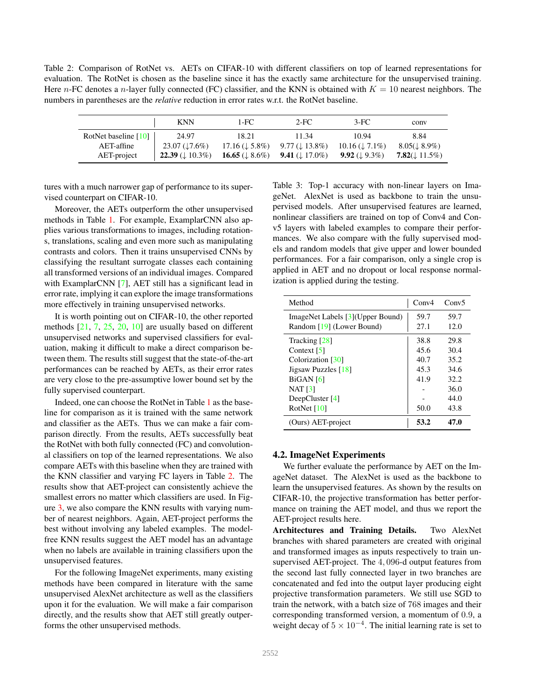Table 2: Comparison of RotNet vs. AETs on CIFAR-10 with different classifiers on top of learned representations for evaluation. The RotNet is chosen as the baseline since it has the exactly same architecture for the unsupervised training. Here n-FC denotes a n-layer fully connected (FC) classifier, and the KNN is obtained with  $K = 10$  nearest neighbors. The numbers in parentheses are the *relative* reduction in error rates w.r.t. the RotNet baseline.

|                      | <b>KNN</b>                                   | 1-FC                         | $2-FC$                     | $3-FC$                       | conv                      |
|----------------------|----------------------------------------------|------------------------------|----------------------------|------------------------------|---------------------------|
| RotNet baseline [10] | 24.97                                        | 18.21                        | 11.34                      | 10.94                        | 8.84                      |
| AET-affine           | $23.07 \left( \frac{1}{2} \cdot 6\% \right)$ | $17.16 \ (\downarrow 5.8\%)$ | $9.77 (\downarrow 13.8\%)$ | $10.16 \ (\downarrow 7.1\%)$ | $8.05(\downarrow 8.9\%)$  |
| AET-project          | <b>22.39</b> ( $\downarrow$ 10.3%)           | 16.65 ( $\downarrow$ 8.6%)   | 9.41 ( $\downarrow$ 17.0%) | 9.92 ( $\downarrow$ 9.3%)    | 7.82( $\downarrow$ 11.5%) |

tures with a much narrower gap of performance to its supervised counterpart on CIFAR-10.

Moreover, the AETs outperform the other unsupervised methods in Table 1. For example, ExamplarCNN also applies various transformations to images, including rotations, translations, scaling and even more such as manipulating contrasts and colors. Then it trains unsupervised CNNs by classifying the resultant surrogate classes each containing all transformed versions of an individual images. Compared with ExamplarCNN [7], AET still has a significant lead in error rate, implying it can explore the image transformations more effectively in training unsupervised networks.

It is worth pointing out on CIFAR-10, the other reported methods [21, 7, 25, 20, 10] are usually based on different unsupervised networks and supervised classifiers for evaluation, making it difficult to make a direct comparison between them. The results still suggest that the state-of-the-art performances can be reached by AETs, as their error rates are very close to the pre-assumptive lower bound set by the fully supervised counterpart.

Indeed, one can choose the RotNet in Table 1 as the baseline for comparison as it is trained with the same network and classifier as the AETs. Thus we can make a fair comparison directly. From the results, AETs successfully beat the RotNet with both fully connected (FC) and convolutional classifiers on top of the learned representations. We also compare AETs with this baseline when they are trained with the KNN classifier and varying FC layers in Table 2. The results show that AET-project can consistently achieve the smallest errors no matter which classifiers are used. In Figure 3, we also compare the KNN results with varying number of nearest neighbors. Again, AET-project performs the best without involving any labeled examples. The modelfree KNN results suggest the AET model has an advantage when no labels are available in training classifiers upon the unsupervised features.

For the following ImageNet experiments, many existing methods have been compared in literature with the same unsupervised AlexNet architecture as well as the classifiers upon it for the evaluation. We will make a fair comparison directly, and the results show that AET still greatly outperforms the other unsupervised methods.

Table 3: Top-1 accuracy with non-linear layers on ImageNet. AlexNet is used as backbone to train the unsupervised models. After unsupervised features are learned, nonlinear classifiers are trained on top of Conv4 and Conv5 layers with labeled examples to compare their performances. We also compare with the fully supervised models and random models that give upper and lower bounded performances. For a fair comparison, only a single crop is applied in AET and no dropout or local response normalization is applied during the testing.

| Method                            | Conv4 | Conv5 |
|-----------------------------------|-------|-------|
| ImageNet Labels [3] (Upper Bound) | 59.7  | 59.7  |
| Random [19] (Lower Bound)         | 27.1  | 12.0  |
| Tracking [28]                     | 38.8  | 29.8  |
| Context $\lceil 5 \rceil$         | 45.6  | 30.4  |
| Colorization [30]                 | 40.7  | 35.2  |
| Jigsaw Puzzles [18]               | 45.3  | 34.6  |
| BiGAN[6]                          | 41.9  | 32.2  |
| $NAT$ [3]                         |       | 36.0  |
| DeepCluster $[4]$                 |       | 44.0  |
| RotNet $[10]$                     | 50.0  | 43.8  |
| (Ours) AET-project                | 53.2  | 47.0  |

### 4.2. ImageNet Experiments

We further evaluate the performance by AET on the ImageNet dataset. The AlexNet is used as the backbone to learn the unsupervised features. As shown by the results on CIFAR-10, the projective transformation has better performance on training the AET model, and thus we report the AET-project results here.

Architectures and Training Details. Two AlexNet branches with shared parameters are created with original and transformed images as inputs respectively to train unsupervised AET-project. The 4, 096-d output features from the second last fully connected layer in two branches are concatenated and fed into the output layer producing eight projective transformation parameters. We still use SGD to train the network, with a batch size of 768 images and their corresponding transformed version, a momentum of 0.9, a weight decay of  $5 \times 10^{-4}$ . The initial learning rate is set to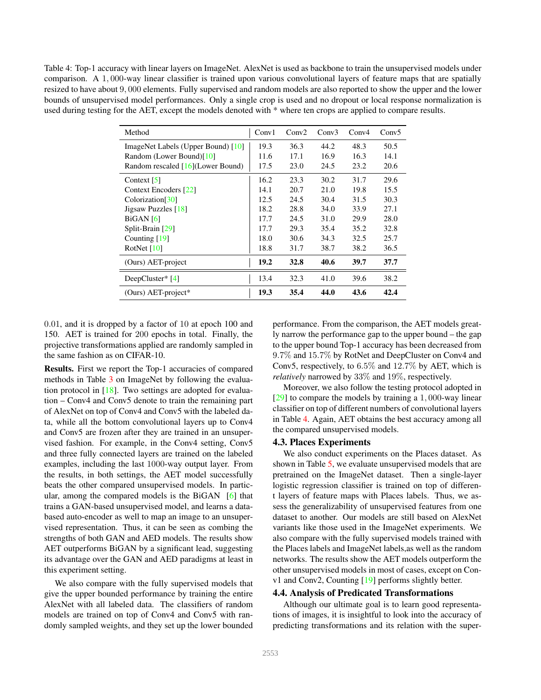Table 4: Top-1 accuracy with linear layers on ImageNet. AlexNet is used as backbone to train the unsupervised models under comparison. A 1, 000-way linear classifier is trained upon various convolutional layers of feature maps that are spatially resized to have about 9, 000 elements. Fully supervised and random models are also reported to show the upper and the lower bounds of unsupervised model performances. Only a single crop is used and no dropout or local response normalization is used during testing for the AET, except the models denoted with \* where ten crops are applied to compare results.

| Method                             | Conv1 | Conv2 | Conv3 | Conv4 | Conv5 |
|------------------------------------|-------|-------|-------|-------|-------|
| ImageNet Labels (Upper Bound) [10] | 19.3  | 36.3  | 44.2  | 48.3  | 50.5  |
| Random (Lower Bound)[10]           | 11.6  | 17.1  | 16.9  | 16.3  | 14.1  |
| Random rescaled [16] (Lower Bound) | 17.5  | 23.0  | 24.5  | 23.2  | 20.6  |
| Context $\lceil 5 \rceil$          | 16.2  | 23.3  | 30.2  | 31.7  | 29.6  |
| Context Encoders [22]              | 14.1  | 20.7  | 21.0  | 19.8  | 15.5  |
| Colorization <sup>[30]</sup>       | 12.5  | 24.5  | 30.4  | 31.5  | 30.3  |
| Jigsaw Puzzles [18]                | 18.2  | 28.8  | 34.0  | 33.9  | 27.1  |
| BiGAN[6]                           | 17.7  | 24.5  | 31.0  | 29.9  | 28.0  |
| Split-Brain [29]                   | 17.7  | 29.3  | 35.4  | 35.2  | 32.8  |
| Counting $[19]$                    | 18.0  | 30.6  | 34.3  | 32.5  | 25.7  |
| RotNet $[10]$                      | 18.8  | 31.7  | 38.7  | 38.2  | 36.5  |
| (Ours) AET-project                 | 19.2  | 32.8  | 40.6  | 39.7  | 37.7  |
| DeepCluster $*$ [4]                | 13.4  | 32.3  | 41.0  | 39.6  | 38.2  |
| (Ours) AET-project*                | 19.3  | 35.4  | 44.0  | 43.6  | 42.4  |

0.01, and it is dropped by a factor of 10 at epoch 100 and 150. AET is trained for 200 epochs in total. Finally, the projective transformations applied are randomly sampled in the same fashion as on CIFAR-10.

Results. First we report the Top-1 accuracies of compared methods in Table 3 on ImageNet by following the evaluation protocol in [18]. Two settings are adopted for evaluation – Conv4 and Conv5 denote to train the remaining part of AlexNet on top of Conv4 and Conv5 with the labeled data, while all the bottom convolutional layers up to Conv4 and Conv5 are frozen after they are trained in an unsupervised fashion. For example, in the Conv4 setting, Conv5 and three fully connected layers are trained on the labeled examples, including the last 1000-way output layer. From the results, in both settings, the AET model successfully beats the other compared unsupervised models. In particular, among the compared models is the BiGAN [6] that trains a GAN-based unsupervised model, and learns a databased auto-encoder as well to map an image to an unsupervised representation. Thus, it can be seen as combing the strengths of both GAN and AED models. The results show AET outperforms BiGAN by a significant lead, suggesting its advantage over the GAN and AED paradigms at least in this experiment setting.

We also compare with the fully supervised models that give the upper bounded performance by training the entire AlexNet with all labeled data. The classifiers of random models are trained on top of Conv4 and Conv5 with randomly sampled weights, and they set up the lower bounded performance. From the comparison, the AET models greatly narrow the performance gap to the upper bound – the gap to the upper bound Top-1 accuracy has been decreased from 9.7% and 15.7% by RotNet and DeepCluster on Conv4 and Conv5, respectively, to 6.5% and 12.7% by AET, which is *relatively* narrowed by 33% and 19%, respectively.

Moreover, we also follow the testing protocol adopted in [29] to compare the models by training a 1, 000-way linear classifier on top of different numbers of convolutional layers in Table 4. Again, AET obtains the best accuracy among all the compared unsupervised models.

### 4.3. Places Experiments

We also conduct experiments on the Places dataset. As shown in Table 5, we evaluate unsupervised models that are pretrained on the ImageNet dataset. Then a single-layer logistic regression classifier is trained on top of different layers of feature maps with Places labels. Thus, we assess the generalizability of unsupervised features from one dataset to another. Our models are still based on AlexNet variants like those used in the ImageNet experiments. We also compare with the fully supervised models trained with the Places labels and ImageNet labels,as well as the random networks. The results show the AET models outperform the other unsupervised models in most of cases, except on Conv1 and Conv2, Counting [19] performs slightly better.

### 4.4. Analysis of Predicated Transformations

Although our ultimate goal is to learn good representations of images, it is insightful to look into the accuracy of predicting transformations and its relation with the super-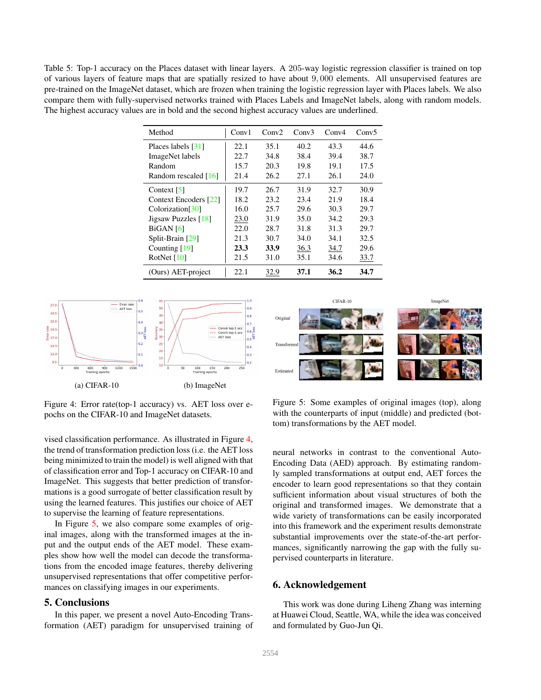Table 5: Top-1 accuracy on the Places dataset with linear layers. A 205-way logistic regression classifier is trained on top of various layers of feature maps that are spatially resized to have about 9, 000 elements. All unsupervised features are pre-trained on the ImageNet dataset, which are frozen when training the logistic regression layer with Places labels. We also compare them with fully-supervised networks trained with Places Labels and ImageNet labels, along with random models. The highest accuracy values are in bold and the second highest accuracy values are underlined.

| Method                       | Conv1 | Conv2 | Conv3 | Conv4 | Conv5 |
|------------------------------|-------|-------|-------|-------|-------|
| Places labels [31]           | 22.1  | 35.1  | 40.2  | 43.3  | 44.6  |
| ImageNet labels              | 22.7  | 34.8  | 38.4  | 39.4  | 38.7  |
| Random                       | 15.7  | 20.3  | 19.8  | 19.1  | 17.5  |
| Random rescaled [16]         | 21.4  | 26.2  | 27.1  | 26.1  | 24.0  |
| Context $\lceil 5 \rceil$    | 19.7  | 26.7  | 31.9  | 32.7  | 30.9  |
| Context Encoders [22]        | 18.2  | 23.2  | 23.4  | 21.9  | 18.4  |
| Colorization <sup>[30]</sup> | 16.0  | 25.7  | 29.6  | 30.3  | 29.7  |
| Jigsaw Puzzles [18]          | 23.0  | 31.9  | 35.0  | 34.2  | 29.3  |
| $BiGAN$ [6]                  | 22.0  | 28.7  | 31.8  | 31.3  | 29.7  |
| Split-Brain [29]             | 21.3  | 30.7  | 34.0  | 34.1  | 32.5  |
| Counting $[19]$              | 23.3  | 33.9  | 36.3  | 34.7  | 29.6  |
| RotNet $[10]$                | 21.5  | 31.0  | 35.1  | 34.6  | 33.7  |
| (Ours) AET-project           | 22.1  | 32.9  | 37.1  | 36.2  | 34.7  |



Figure 4: Error rate(top-1 accuracy) vs. AET loss over epochs on the CIFAR-10 and ImageNet datasets.

vised classification performance. As illustrated in Figure 4, the trend of transformation prediction loss (i.e. the AET loss being minimized to train the model) is well aligned with that of classification error and Top-1 accuracy on CIFAR-10 and ImageNet. This suggests that better prediction of transformations is a good surrogate of better classification result by using the learned features. This justifies our choice of AET to supervise the learning of feature representations.

In Figure 5, we also compare some examples of original images, along with the transformed images at the input and the output ends of the AET model. These examples show how well the model can decode the transformations from the encoded image features, thereby delivering unsupervised representations that offer competitive performances on classifying images in our experiments.

# 5. Conclusions

In this paper, we present a novel Auto-Encoding Transformation (AET) paradigm for unsupervised training of



Figure 5: Some examples of original images (top), along with the counterparts of input (middle) and predicted (bottom) transformations by the AET model.

neural networks in contrast to the conventional Auto-Encoding Data (AED) approach. By estimating randomly sampled transformations at output end, AET forces the encoder to learn good representations so that they contain sufficient information about visual structures of both the original and transformed images. We demonstrate that a wide variety of transformations can be easily incorporated into this framework and the experiment results demonstrate substantial improvements over the state-of-the-art performances, significantly narrowing the gap with the fully supervised counterparts in literature.

### 6. Acknowledgement

This work was done during Liheng Zhang was interning at Huawei Cloud, Seattle, WA, while the idea was conceived and formulated by Guo-Jun Qi.